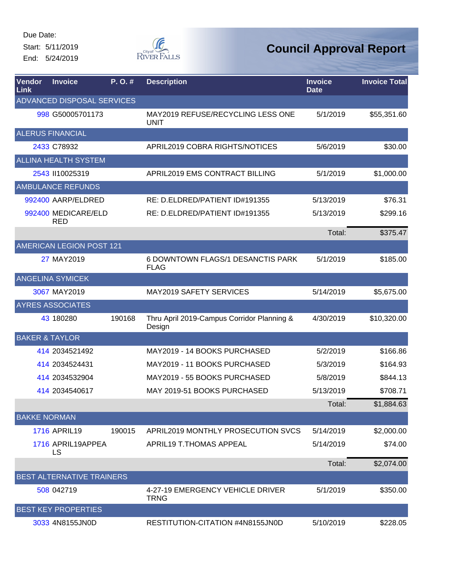Start: 5/11/2019 End: 5/24/2019



| Vendor<br>Link | <b>Invoice</b>                    | P.O.#  | <b>Description</b>                                   | <b>Invoice</b><br><b>Date</b> | <b>Invoice Total</b> |
|----------------|-----------------------------------|--------|------------------------------------------------------|-------------------------------|----------------------|
|                | ADVANCED DISPOSAL SERVICES        |        |                                                      |                               |                      |
|                | 998 G50005701173                  |        | MAY2019 REFUSE/RECYCLING LESS ONE<br><b>UNIT</b>     | 5/1/2019                      | \$55,351.60          |
|                | <b>ALERUS FINANCIAL</b>           |        |                                                      |                               |                      |
|                | 2433 C78932                       |        | APRIL2019 COBRA RIGHTS/NOTICES                       | 5/6/2019                      | \$30.00              |
|                | <b>ALLINA HEALTH SYSTEM</b>       |        |                                                      |                               |                      |
|                | 2543 110025319                    |        | APRIL2019 EMS CONTRACT BILLING                       | 5/1/2019                      | \$1,000.00           |
|                | <b>AMBULANCE REFUNDS</b>          |        |                                                      |                               |                      |
|                | 992400 AARP/ELDRED                |        | RE: D.ELDRED/PATIENT ID#191355                       | 5/13/2019                     | \$76.31              |
|                | 992400 MEDICARE/ELD<br><b>RED</b> |        | RE: D.ELDRED/PATIENT ID#191355                       | 5/13/2019                     | \$299.16             |
|                |                                   |        |                                                      | Total:                        | \$375.47             |
|                | <b>AMERICAN LEGION POST 121</b>   |        |                                                      |                               |                      |
|                | 27 MAY2019                        |        | 6 DOWNTOWN FLAGS/1 DESANCTIS PARK<br><b>FLAG</b>     | 5/1/2019                      | \$185.00             |
|                | <b>ANGELINA SYMICEK</b>           |        |                                                      |                               |                      |
|                | 3067 MAY2019                      |        | MAY2019 SAFETY SERVICES                              | 5/14/2019                     | \$5,675.00           |
|                | <b>AYRES ASSOCIATES</b>           |        |                                                      |                               |                      |
|                | 43 180280                         | 190168 | Thru April 2019-Campus Corridor Planning &<br>Design | 4/30/2019                     | \$10,320.00          |
|                | <b>BAKER &amp; TAYLOR</b>         |        |                                                      |                               |                      |
|                | 414 2034521492                    |        | MAY2019 - 14 BOOKS PURCHASED                         | 5/2/2019                      | \$166.86             |
|                | 414 2034524431                    |        | MAY2019 - 11 BOOKS PURCHASED                         | 5/3/2019                      | \$164.93             |
|                | 414 2034532904                    |        | MAY2019 - 55 BOOKS PURCHASED                         | 5/8/2019                      | \$844.13             |
|                | 414 2034540617                    |        | MAY 2019-51 BOOKS PURCHASED                          | 5/13/2019                     | \$708.71             |
|                |                                   |        |                                                      | Total:                        | \$1,884.63           |
|                | <b>BAKKE NORMAN</b>               |        |                                                      |                               |                      |
|                | <b>1716 APRIL19</b>               | 190015 | APRIL2019 MONTHLY PROSECUTION SVCS                   | 5/14/2019                     | \$2,000.00           |
|                | 1716 APRIL19APPEA<br>LS.          |        | APRIL19 T.THOMAS APPEAL                              | 5/14/2019                     | \$74.00              |
|                |                                   |        |                                                      | Total:                        | \$2,074.00           |
|                | <b>BEST ALTERNATIVE TRAINERS</b>  |        |                                                      |                               |                      |
|                | 508 042719                        |        | 4-27-19 EMERGENCY VEHICLE DRIVER<br><b>TRNG</b>      | 5/1/2019                      | \$350.00             |
|                | <b>BEST KEY PROPERTIES</b>        |        |                                                      |                               |                      |
|                | 3033 4N8155JN0D                   |        | RESTITUTION-CITATION #4N8155JN0D                     | 5/10/2019                     | \$228.05             |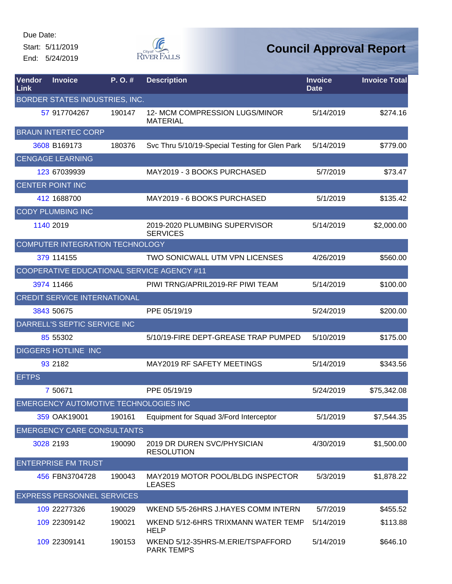Start: 5/11/2019 End: 5/24/2019



| Vendor<br>Link | <b>Invoice</b>                        | P.O.#  | <b>Description</b>                                     | <b>Invoice</b><br><b>Date</b> | <b>Invoice Total</b> |
|----------------|---------------------------------------|--------|--------------------------------------------------------|-------------------------------|----------------------|
|                | BORDER STATES INDUSTRIES, INC.        |        |                                                        |                               |                      |
|                | 57 917704267                          | 190147 | 12- MCM COMPRESSION LUGS/MINOR<br><b>MATERIAL</b>      | 5/14/2019                     | \$274.16             |
|                | <b>BRAUN INTERTEC CORP</b>            |        |                                                        |                               |                      |
|                | 3608 B169173                          | 180376 | Svc Thru 5/10/19-Special Testing for Glen Park         | 5/14/2019                     | \$779.00             |
|                | <b>CENGAGE LEARNING</b>               |        |                                                        |                               |                      |
|                | 123 67039939                          |        | MAY2019 - 3 BOOKS PURCHASED                            | 5/7/2019                      | \$73.47              |
|                | <b>CENTER POINT INC</b>               |        |                                                        |                               |                      |
|                | 412 1688700                           |        | MAY2019 - 6 BOOKS PURCHASED                            | 5/1/2019                      | \$135.42             |
|                | <b>CODY PLUMBING INC</b>              |        |                                                        |                               |                      |
|                | 1140 2019                             |        | 2019-2020 PLUMBING SUPERVISOR<br><b>SERVICES</b>       | 5/14/2019                     | \$2,000.00           |
|                | COMPUTER INTEGRATION TECHNOLOGY       |        |                                                        |                               |                      |
|                | 379 114155                            |        | <b>TWO SONICWALL UTM VPN LICENSES</b>                  | 4/26/2019                     | \$560.00             |
|                |                                       |        | COOPERATIVE EDUCATIONAL SERVICE AGENCY #11             |                               |                      |
|                | 3974 11466                            |        | PIWI TRNG/APRIL2019-RF PIWI TEAM                       | 5/14/2019                     | \$100.00             |
|                | <b>CREDIT SERVICE INTERNATIONAL</b>   |        |                                                        |                               |                      |
|                | 3843 50675                            |        | PPE 05/19/19                                           | 5/24/2019                     | \$200.00             |
|                | DARRELL'S SEPTIC SERVICE INC          |        |                                                        |                               |                      |
|                | 85 55302                              |        | 5/10/19-FIRE DEPT-GREASE TRAP PUMPED                   | 5/10/2019                     | \$175.00             |
|                | <b>DIGGERS HOTLINE INC</b>            |        |                                                        |                               |                      |
|                | 93 2182                               |        | <b>MAY2019 RF SAFETY MEETINGS</b>                      | 5/14/2019                     | \$343.56             |
| <b>EFTPS</b>   |                                       |        |                                                        |                               |                      |
|                | 7 50671                               |        | PPE 05/19/19                                           | 5/24/2019                     | \$75,342.08          |
|                | EMERGENCY AUTOMOTIVE TECHNOLOGIES INC |        |                                                        |                               |                      |
|                | 359 OAK19001                          | 190161 | Equipment for Squad 3/Ford Interceptor                 | 5/1/2019                      | \$7,544.35           |
|                | <b>EMERGENCY CARE CONSULTANTS</b>     |        |                                                        |                               |                      |
|                | 3028 2193                             | 190090 | 2019 DR DUREN SVC/PHYSICIAN<br><b>RESOLUTION</b>       | 4/30/2019                     | \$1,500.00           |
|                | <b>ENTERPRISE FM TRUST</b>            |        |                                                        |                               |                      |
|                | 456 FBN3704728                        | 190043 | MAY2019 MOTOR POOL/BLDG INSPECTOR<br><b>LEASES</b>     | 5/3/2019                      | \$1,878.22           |
|                | <b>EXPRESS PERSONNEL SERVICES</b>     |        |                                                        |                               |                      |
|                | 109 22277326                          | 190029 | WKEND 5/5-26HRS J.HAYES COMM INTERN                    | 5/7/2019                      | \$455.52             |
|                | 109 22309142                          | 190021 | WKEND 5/12-6HRS TRIXMANN WATER TEMP<br><b>HELP</b>     | 5/14/2019                     | \$113.88             |
|                | 109 22309141                          | 190153 | WKEND 5/12-35HRS-M.ERIE/TSPAFFORD<br><b>PARK TEMPS</b> | 5/14/2019                     | \$646.10             |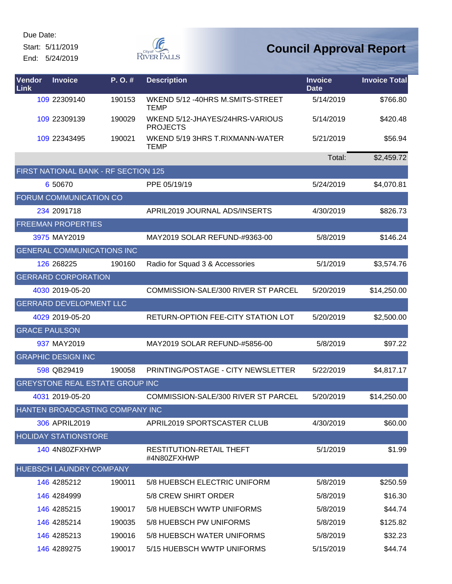Start: 5/11/2019 End: 5/24/2019



| Vendor<br>Link       | <b>Invoice</b>                    | P. O. #                              | <b>Description</b>                                 | <b>Invoice</b><br><b>Date</b> | <b>Invoice Total</b> |
|----------------------|-----------------------------------|--------------------------------------|----------------------------------------------------|-------------------------------|----------------------|
|                      | 109 22309140                      | 190153                               | WKEND 5/12 -40HRS M.SMITS-STREET<br><b>TEMP</b>    | 5/14/2019                     | \$766.80             |
|                      | 109 22309139                      | 190029                               | WKEND 5/12-JHAYES/24HRS-VARIOUS<br><b>PROJECTS</b> | 5/14/2019                     | \$420.48             |
|                      | 109 22343495                      | 190021                               | WKEND 5/19 3HRS T.RIXMANN-WATER<br><b>TEMP</b>     | 5/21/2019                     | \$56.94              |
|                      |                                   |                                      |                                                    | Total:                        | \$2,459.72           |
|                      |                                   | FIRST NATIONAL BANK - RF SECTION 125 |                                                    |                               |                      |
|                      | 6 50 670                          |                                      | PPE 05/19/19                                       | 5/24/2019                     | \$4,070.81           |
|                      | FORUM COMMUNICATION CO            |                                      |                                                    |                               |                      |
|                      | 234 2091718                       |                                      | APRIL2019 JOURNAL ADS/INSERTS                      | 4/30/2019                     | \$826.73             |
|                      | <b>FREEMAN PROPERTIES</b>         |                                      |                                                    |                               |                      |
|                      | 3975 MAY2019                      |                                      | MAY2019 SOLAR REFUND-#9363-00                      | 5/8/2019                      | \$146.24             |
|                      | <b>GENERAL COMMUNICATIONS INC</b> |                                      |                                                    |                               |                      |
|                      | 126 268225                        | 190160                               | Radio for Squad 3 & Accessories                    | 5/1/2019                      | \$3,574.76           |
|                      | <b>GERRARD CORPORATION</b>        |                                      |                                                    |                               |                      |
|                      | 4030 2019-05-20                   |                                      | COMMISSION-SALE/300 RIVER ST PARCEL                | 5/20/2019                     | \$14,250.00          |
|                      | <b>GERRARD DEVELOPMENT LLC</b>    |                                      |                                                    |                               |                      |
|                      | 4029 2019-05-20                   |                                      | RETURN-OPTION FEE-CITY STATION LOT                 | 5/20/2019                     | \$2,500.00           |
| <b>GRACE PAULSON</b> |                                   |                                      |                                                    |                               |                      |
|                      | 937 MAY2019                       |                                      | MAY2019 SOLAR REFUND-#5856-00                      | 5/8/2019                      | \$97.22              |
|                      | <b>GRAPHIC DESIGN INC</b>         |                                      |                                                    |                               |                      |
|                      | 598 QB29419                       | 190058                               | PRINTING/POSTAGE - CITY NEWSLETTER                 | 5/22/2019                     | \$4,817.17           |
|                      |                                   | GREYSTONE REAL ESTATE GROUP INC      |                                                    |                               |                      |
|                      | 4031 2019-05-20                   |                                      | COMMISSION-SALE/300 RIVER ST PARCEL                | 5/20/2019                     | \$14,250.00          |
|                      |                                   | HANTEN BROADCASTING COMPANY INC      |                                                    |                               |                      |
|                      | 306 APRIL2019                     |                                      | APRIL2019 SPORTSCASTER CLUB                        | 4/30/2019                     | \$60.00              |
|                      | <b>HOLIDAY STATIONSTORE</b>       |                                      |                                                    |                               |                      |
|                      | 140 4N80ZFXHWP                    |                                      | RESTITUTION-RETAIL THEFT<br>#4N80ZFXHWP            | 5/1/2019                      | \$1.99               |
|                      | HUEBSCH LAUNDRY COMPANY           |                                      |                                                    |                               |                      |
|                      | 146 4285212                       | 190011                               | 5/8 HUEBSCH ELECTRIC UNIFORM                       | 5/8/2019                      | \$250.59             |
|                      | 146 4284999                       |                                      | 5/8 CREW SHIRT ORDER                               | 5/8/2019                      | \$16.30              |
|                      | 146 4285215                       | 190017                               | 5/8 HUEBSCH WWTP UNIFORMS                          | 5/8/2019                      | \$44.74              |
|                      | 146 4285214                       | 190035                               | 5/8 HUEBSCH PW UNIFORMS                            | 5/8/2019                      | \$125.82             |
|                      | 146 4285213                       | 190016                               | 5/8 HUEBSCH WATER UNIFORMS                         | 5/8/2019                      | \$32.23              |
|                      | 146 4289275                       | 190017                               | 5/15 HUEBSCH WWTP UNIFORMS                         | 5/15/2019                     | \$44.74              |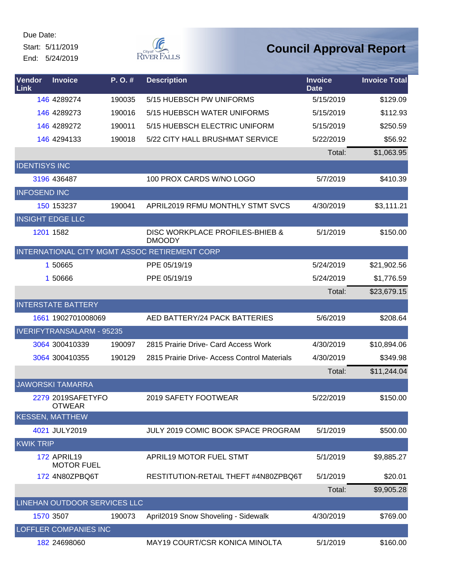Start: 5/11/2019 End: 5/24/2019



| Vendor<br>Link       | <b>Invoice</b>                          | P.O.#  | <b>Description</b>                               | <b>Invoice</b><br><b>Date</b> | <b>Invoice Total</b> |
|----------------------|-----------------------------------------|--------|--------------------------------------------------|-------------------------------|----------------------|
|                      | 146 4289274                             | 190035 | 5/15 HUEBSCH PW UNIFORMS                         | 5/15/2019                     | \$129.09             |
|                      | 146 4289273                             | 190016 | 5/15 HUEBSCH WATER UNIFORMS                      | 5/15/2019                     | \$112.93             |
|                      | 146 4289272                             | 190011 | 5/15 HUEBSCH ELECTRIC UNIFORM                    | 5/15/2019                     | \$250.59             |
|                      | 146 4294133                             | 190018 | 5/22 CITY HALL BRUSHMAT SERVICE                  | 5/22/2019                     | \$56.92              |
|                      |                                         |        |                                                  | Total:                        | \$1,063.95           |
| <b>IDENTISYS INC</b> |                                         |        |                                                  |                               |                      |
|                      | 3196 436487                             |        | 100 PROX CARDS W/NO LOGO                         | 5/7/2019                      | \$410.39             |
| <b>INFOSEND INC</b>  |                                         |        |                                                  |                               |                      |
|                      | 150 153237                              | 190041 | APRIL2019 RFMU MONTHLY STMT SVCS                 | 4/30/2019                     | \$3,111.21           |
|                      | <b>INSIGHT EDGE LLC</b>                 |        |                                                  |                               |                      |
|                      | 1201 1582                               |        | DISC WORKPLACE PROFILES-BHIEB &<br><b>DMOODY</b> | 5/1/2019                      | \$150.00             |
|                      |                                         |        | INTERNATIONAL CITY MGMT ASSOC RETIREMENT CORP    |                               |                      |
|                      | 1 50665                                 |        | PPE 05/19/19                                     | 5/24/2019                     | \$21,902.56          |
|                      | 1 50666                                 |        | PPE 05/19/19                                     | 5/24/2019                     | \$1,776.59           |
|                      |                                         |        |                                                  | Total:                        | \$23,679.15          |
|                      | <b>INTERSTATE BATTERY</b>               |        |                                                  |                               |                      |
|                      | 1661 1902701008069                      |        | AED BATTERY/24 PACK BATTERIES                    | 5/6/2019                      | \$208.64             |
|                      | <b>IVERIFYTRANSALARM - 95235</b>        |        |                                                  |                               |                      |
|                      | 3064 300410339                          | 190097 | 2815 Prairie Drive- Card Access Work             | 4/30/2019                     | \$10,894.06          |
|                      | 3064 300410355                          | 190129 | 2815 Prairie Drive- Access Control Materials     | 4/30/2019                     | \$349.98             |
|                      |                                         |        |                                                  | Total:                        | \$11,244.04          |
|                      | <b>JAWORSKI TAMARRA</b>                 |        |                                                  |                               |                      |
|                      | 2279 2019SAFETYFO<br><b>OTWEAR</b>      |        | 2019 SAFETY FOOTWEAR                             | 5/22/2019                     | \$150.00             |
|                      | <b>KESSEN, MATTHEW</b>                  |        |                                                  |                               |                      |
|                      | 4021 JULY2019                           |        | JULY 2019 COMIC BOOK SPACE PROGRAM               | 5/1/2019                      | \$500.00             |
| <b>KWIK TRIP</b>     |                                         |        |                                                  |                               |                      |
|                      | <b>172 APRIL19</b><br><b>MOTOR FUEL</b> |        | APRIL19 MOTOR FUEL STMT                          | 5/1/2019                      | \$9,885.27           |
|                      | 172 4N80ZPBQ6T                          |        | RESTITUTION-RETAIL THEFT #4N80ZPBQ6T             | 5/1/2019                      | \$20.01              |
|                      |                                         |        |                                                  | Total:                        | \$9,905.28           |
|                      | LINEHAN OUTDOOR SERVICES LLC            |        |                                                  |                               |                      |
|                      | 1570 3507                               | 190073 | April2019 Snow Shoveling - Sidewalk              | 4/30/2019                     | \$769.00             |
|                      | <b>LOFFLER COMPANIES INC</b>            |        |                                                  |                               |                      |
|                      | 182 24698060                            |        | MAY19 COURT/CSR KONICA MINOLTA                   | 5/1/2019                      | \$160.00             |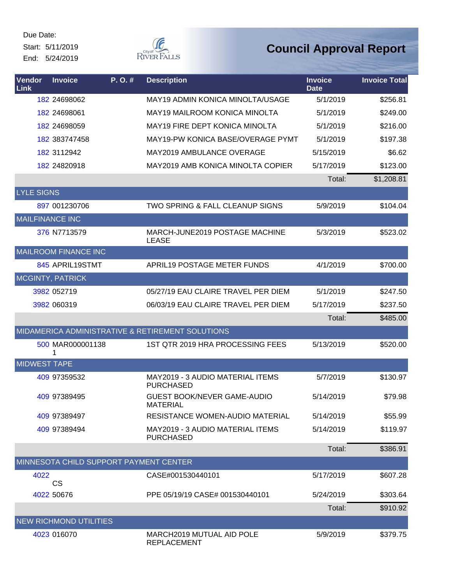Start: 5/11/2019 End: 5/24/2019



| Vendor<br>Link         | <b>Invoice</b>                         | P.O.# | <b>Description</b>                                   | <b>Invoice</b><br><b>Date</b> | <b>Invoice Total</b> |
|------------------------|----------------------------------------|-------|------------------------------------------------------|-------------------------------|----------------------|
|                        | 182 24698062                           |       | <b>MAY19 ADMIN KONICA MINOLTA/USAGE</b>              | 5/1/2019                      | \$256.81             |
|                        | 182 24698061                           |       | <b>MAY19 MAILROOM KONICA MINOLTA</b>                 | 5/1/2019                      | \$249.00             |
|                        | 182 24698059                           |       | MAY19 FIRE DEPT KONICA MINOLTA                       | 5/1/2019                      | \$216.00             |
|                        | 182 383747458                          |       | MAY19-PW KONICA BASE/OVERAGE PYMT                    | 5/1/2019                      | \$197.38             |
|                        | 182 3112942                            |       | <b>MAY2019 AMBULANCE OVERAGE</b>                     | 5/15/2019                     | \$6.62               |
|                        | 182 24820918                           |       | MAY2019 AMB KONICA MINOLTA COPIER                    | 5/17/2019                     | \$123.00             |
|                        |                                        |       |                                                      | Total:                        | \$1,208.81           |
| <b>LYLE SIGNS</b>      |                                        |       |                                                      |                               |                      |
|                        | 897 001230706                          |       | <b>TWO SPRING &amp; FALL CLEANUP SIGNS</b>           | 5/9/2019                      | \$104.04             |
| <b>MAILFINANCE INC</b> |                                        |       |                                                      |                               |                      |
|                        | 376 N7713579                           |       | MARCH-JUNE2019 POSTAGE MACHINE<br><b>LEASE</b>       | 5/3/2019                      | \$523.02             |
|                        | <b>MAILROOM FINANCE INC</b>            |       |                                                      |                               |                      |
|                        | 845 APRIL19STMT                        |       | <b>APRIL19 POSTAGE METER FUNDS</b>                   | 4/1/2019                      | \$700.00             |
|                        | <b>MCGINTY, PATRICK</b>                |       |                                                      |                               |                      |
|                        | 3982 052719                            |       | 05/27/19 EAU CLAIRE TRAVEL PER DIEM                  | 5/1/2019                      | \$247.50             |
|                        | 3982 060319                            |       | 06/03/19 EAU CLAIRE TRAVEL PER DIEM                  | 5/17/2019                     | \$237.50             |
|                        |                                        |       |                                                      | Total:                        | \$485.00             |
|                        |                                        |       | MIDAMERICA ADMINISTRATIVE & RETIREMENT SOLUTIONS     |                               |                      |
|                        | 500 MAR000001138                       |       | 1ST QTR 2019 HRA PROCESSING FEES                     | 5/13/2019                     | \$520.00             |
| <b>MIDWEST TAPE</b>    |                                        |       |                                                      |                               |                      |
|                        | 409 97359532                           |       | MAY2019 - 3 AUDIO MATERIAL ITEMS<br><b>PURCHASED</b> | 5/7/2019                      | \$130.97             |
|                        | 409 97389495                           |       | <b>GUEST BOOK/NEVER GAME-AUDIO</b><br>MATERIAL       | 5/14/2019                     | \$79.98              |
|                        | 409 97389497                           |       | RESISTANCE WOMEN-AUDIO MATERIAL                      | 5/14/2019                     | \$55.99              |
|                        | 409 97389494                           |       | MAY2019 - 3 AUDIO MATERIAL ITEMS<br><b>PURCHASED</b> | 5/14/2019                     | \$119.97             |
|                        |                                        |       |                                                      | Total:                        | \$386.91             |
|                        | MINNESOTA CHILD SUPPORT PAYMENT CENTER |       |                                                      |                               |                      |
| 4022                   | <b>CS</b>                              |       | CASE#001530440101                                    | 5/17/2019                     | \$607.28             |
|                        | 4022 50676                             |       | PPE 05/19/19 CASE# 001530440101                      | 5/24/2019                     | \$303.64             |
|                        |                                        |       |                                                      | Total:                        | \$910.92             |
|                        | <b>NEW RICHMOND UTILITIES</b>          |       |                                                      |                               |                      |
|                        | 4023 016070                            |       | MARCH2019 MUTUAL AID POLE<br><b>REPLACEMENT</b>      | 5/9/2019                      | \$379.75             |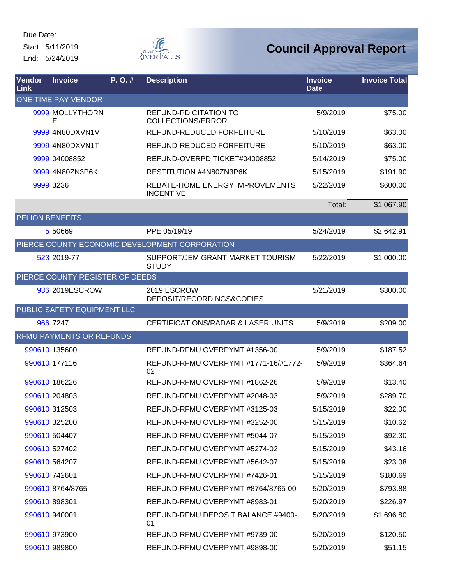Due Date: Start: 5/11/2019

End: 5/24/2019



| Vendor<br>Link | <b>Invoice</b>                  | $P. O.$ # | <b>Description</b>                                       | <b>Invoice</b><br><b>Date</b> | <b>Invoice Total</b> |
|----------------|---------------------------------|-----------|----------------------------------------------------------|-------------------------------|----------------------|
|                | ONE TIME PAY VENDOR             |           |                                                          |                               |                      |
|                | 9999 MOLLYTHORN<br>E            |           | <b>REFUND-PD CITATION TO</b><br><b>COLLECTIONS/ERROR</b> | 5/9/2019                      | \$75.00              |
|                | 9999 4N80DXVN1V                 |           | REFUND-REDUCED FORFEITURE                                | 5/10/2019                     | \$63.00              |
|                | 9999 4N80DXVN1T                 |           | <b>REFUND-REDUCED FORFEITURE</b>                         | 5/10/2019                     | \$63.00              |
|                | 9999 04008852                   |           | REFUND-OVERPD TICKET#04008852                            | 5/14/2019                     | \$75.00              |
|                | 9999 4N80ZN3P6K                 |           | RESTITUTION #4N80ZN3P6K                                  | 5/15/2019                     | \$191.90             |
|                | 9999 3236                       |           | REBATE-HOME ENERGY IMPROVEMENTS<br><b>INCENTIVE</b>      | 5/22/2019                     | \$600.00             |
|                |                                 |           |                                                          | Total:                        | \$1,067.90           |
|                | <b>PELION BENEFITS</b>          |           |                                                          |                               |                      |
|                | 5 50 669                        |           | PPE 05/19/19                                             | 5/24/2019                     | \$2,642.91           |
|                |                                 |           | PIERCE COUNTY ECONOMIC DEVELOPMENT CORPORATION           |                               |                      |
|                | 523 2019-77                     |           | SUPPORT/JEM GRANT MARKET TOURISM<br><b>STUDY</b>         | 5/22/2019                     | \$1,000.00           |
|                | PIERCE COUNTY REGISTER OF DEEDS |           |                                                          |                               |                      |
|                | 936 2019ESCROW                  |           | 2019 ESCROW<br>DEPOSIT/RECORDINGS&COPIES                 | 5/21/2019                     | \$300.00             |
|                | PUBLIC SAFETY EQUIPMENT LLC     |           |                                                          |                               |                      |
|                | 966 7247                        |           | <b>CERTIFICATIONS/RADAR &amp; LASER UNITS</b>            | 5/9/2019                      | \$209.00             |
|                | <b>RFMU PAYMENTS OR REFUNDS</b> |           |                                                          |                               |                      |
|                | 990610 135600                   |           | REFUND-RFMU OVERPYMT #1356-00                            | 5/9/2019                      | \$187.52             |
|                | 990610 177116                   |           | REFUND-RFMU OVERPYMT #1771-16/#1772-<br>02               | 5/9/2019                      | \$364.64             |
|                | 990610 186226                   |           | REFUND-RFMU OVERPYMT #1862-26                            | 5/9/2019                      | \$13.40              |
|                | 990610 204803                   |           | REFUND-RFMU OVERPYMT #2048-03                            | 5/9/2019                      | \$289.70             |
|                | 990610 312503                   |           | REFUND-RFMU OVERPYMT #3125-03                            | 5/15/2019                     | \$22.00              |
|                | 990610 325200                   |           | REFUND-RFMU OVERPYMT #3252-00                            | 5/15/2019                     | \$10.62              |
|                | 990610 504407                   |           | REFUND-RFMU OVERPYMT #5044-07                            | 5/15/2019                     | \$92.30              |
|                | 990610 527402                   |           | REFUND-RFMU OVERPYMT #5274-02                            | 5/15/2019                     | \$43.16              |
|                | 990610 564207                   |           | REFUND-RFMU OVERPYMT #5642-07                            | 5/15/2019                     | \$23.08              |
|                | 990610 742601                   |           | REFUND-RFMU OVERPYMT #7426-01                            | 5/15/2019                     | \$180.69             |
|                | 990610 8764/8765                |           | REFUND-RFMU OVERPYMT #8764/8765-00                       | 5/20/2019                     | \$793.88             |
|                | 990610 898301                   |           | REFUND-RFMU OVERPYMT #8983-01                            | 5/20/2019                     | \$226.97             |
|                | 990610 940001                   |           | REFUND-RFMU DEPOSIT BALANCE #9400-<br>01                 | 5/20/2019                     | \$1,696.80           |
|                | 990610 973900                   |           | REFUND-RFMU OVERPYMT #9739-00                            | 5/20/2019                     | \$120.50             |
|                | 990610 989800                   |           | REFUND-RFMU OVERPYMT #9898-00                            | 5/20/2019                     | \$51.15              |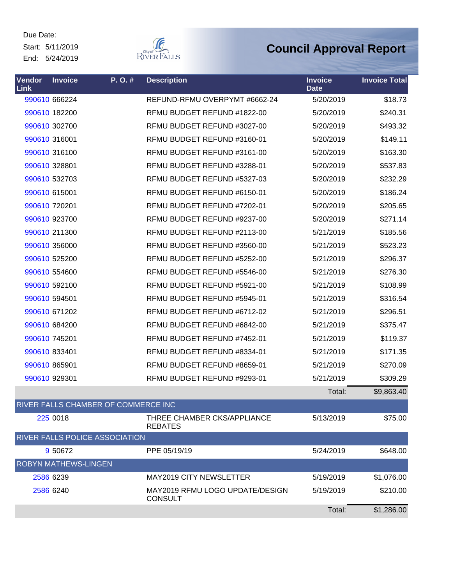Start: 5/11/2019 End: 5/24/2019



| Vendor<br>Link              | <b>Invoice</b> | P.O.#                               | <b>Description</b>                                | <b>Invoice</b><br><b>Date</b> | <b>Invoice Total</b> |
|-----------------------------|----------------|-------------------------------------|---------------------------------------------------|-------------------------------|----------------------|
|                             | 990610 666224  |                                     | REFUND-RFMU OVERPYMT #6662-24                     | 5/20/2019                     | \$18.73              |
|                             | 990610 182200  |                                     | RFMU BUDGET REFUND #1822-00                       | 5/20/2019                     | \$240.31             |
|                             | 990610 302700  |                                     | RFMU BUDGET REFUND #3027-00                       | 5/20/2019                     | \$493.32             |
|                             | 990610 316001  |                                     | RFMU BUDGET REFUND #3160-01                       | 5/20/2019                     | \$149.11             |
|                             | 990610 316100  |                                     | RFMU BUDGET REFUND #3161-00                       | 5/20/2019                     | \$163.30             |
|                             | 990610 328801  |                                     | RFMU BUDGET REFUND #3288-01                       | 5/20/2019                     | \$537.83             |
|                             | 990610 532703  |                                     | RFMU BUDGET REFUND #5327-03                       | 5/20/2019                     | \$232.29             |
|                             | 990610 615001  |                                     | RFMU BUDGET REFUND #6150-01                       | 5/20/2019                     | \$186.24             |
|                             | 990610 720201  |                                     | RFMU BUDGET REFUND #7202-01                       | 5/20/2019                     | \$205.65             |
|                             | 990610 923700  |                                     | RFMU BUDGET REFUND #9237-00                       | 5/20/2019                     | \$271.14             |
|                             | 990610 211300  |                                     | RFMU BUDGET REFUND #2113-00                       | 5/21/2019                     | \$185.56             |
|                             | 990610 356000  |                                     | RFMU BUDGET REFUND #3560-00                       | 5/21/2019                     | \$523.23             |
|                             | 990610 525200  |                                     | RFMU BUDGET REFUND #5252-00                       | 5/21/2019                     | \$296.37             |
|                             | 990610 554600  |                                     | RFMU BUDGET REFUND #5546-00                       | 5/21/2019                     | \$276.30             |
|                             | 990610 592100  |                                     | RFMU BUDGET REFUND #5921-00                       | 5/21/2019                     | \$108.99             |
|                             | 990610 594501  |                                     | RFMU BUDGET REFUND #5945-01                       | 5/21/2019                     | \$316.54             |
|                             | 990610 671202  |                                     | RFMU BUDGET REFUND #6712-02                       | 5/21/2019                     | \$296.51             |
|                             | 990610 684200  |                                     | RFMU BUDGET REFUND #6842-00                       | 5/21/2019                     | \$375.47             |
|                             | 990610 745201  |                                     | RFMU BUDGET REFUND #7452-01                       | 5/21/2019                     | \$119.37             |
|                             | 990610 833401  |                                     | RFMU BUDGET REFUND #8334-01                       | 5/21/2019                     | \$171.35             |
|                             | 990610 865901  |                                     | RFMU BUDGET REFUND #8659-01                       | 5/21/2019                     | \$270.09             |
|                             | 990610 929301  |                                     | RFMU BUDGET REFUND #9293-01                       | 5/21/2019                     | \$309.29             |
|                             |                |                                     |                                                   | Total:                        | \$9,863.40           |
|                             |                | RIVER FALLS CHAMBER OF COMMERCE INC |                                                   |                               |                      |
|                             | 225 0018       |                                     | THREE CHAMBER CKS/APPLIANCE<br><b>REBATES</b>     | 5/13/2019                     | \$75.00              |
|                             |                | RIVER FALLS POLICE ASSOCIATION      |                                                   |                               |                      |
|                             | 9 50 672       |                                     | PPE 05/19/19                                      | 5/24/2019                     | \$648.00             |
| <b>ROBYN MATHEWS-LINGEN</b> |                |                                     |                                                   |                               |                      |
|                             | 2586 6239      |                                     | <b>MAY2019 CITY NEWSLETTER</b>                    | 5/19/2019                     | \$1,076.00           |
|                             | 2586 6240      |                                     | MAY2019 RFMU LOGO UPDATE/DESIGN<br><b>CONSULT</b> | 5/19/2019                     | \$210.00             |
|                             |                |                                     |                                                   | Total:                        | \$1,286.00           |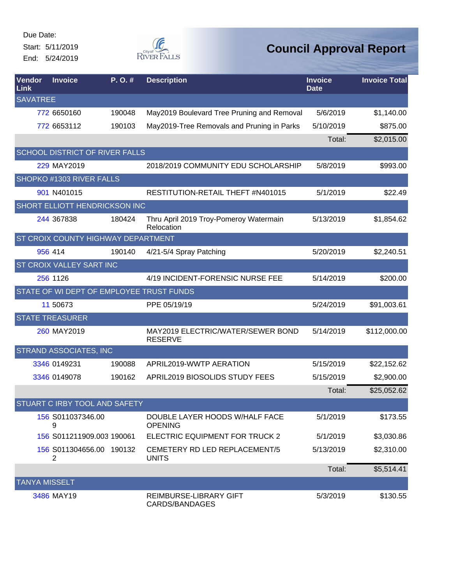Start: 5/11/2019 End: 5/24/2019



| Vendor<br><b>Link</b> | <b>Invoice</b>                           | P.O.#  | <b>Description</b>                                   | <b>Invoice</b><br><b>Date</b> | <b>Invoice Total</b> |
|-----------------------|------------------------------------------|--------|------------------------------------------------------|-------------------------------|----------------------|
| <b>SAVATREE</b>       |                                          |        |                                                      |                               |                      |
|                       | 772 6650160                              | 190048 | May2019 Boulevard Tree Pruning and Removal           | 5/6/2019                      | \$1,140.00           |
|                       | 772 6653112                              | 190103 | May2019-Tree Removals and Pruning in Parks           | 5/10/2019                     | \$875.00             |
|                       |                                          |        |                                                      | Total:                        | \$2,015.00           |
|                       | <b>SCHOOL DISTRICT OF RIVER FALLS</b>    |        |                                                      |                               |                      |
|                       | 229 MAY2019                              |        | 2018/2019 COMMUNITY EDU SCHOLARSHIP                  | 5/8/2019                      | \$993.00             |
|                       | SHOPKO #1303 RIVER FALLS                 |        |                                                      |                               |                      |
|                       | 901 N401015                              |        | RESTITUTION-RETAIL THEFT #N401015                    | 5/1/2019                      | \$22.49              |
|                       | SHORT ELLIOTT HENDRICKSON INC            |        |                                                      |                               |                      |
|                       | 244 367838                               | 180424 | Thru April 2019 Troy-Pomeroy Watermain<br>Relocation | 5/13/2019                     | \$1,854.62           |
|                       | ST CROIX COUNTY HIGHWAY DEPARTMENT       |        |                                                      |                               |                      |
|                       | 956 414                                  | 190140 | 4/21-5/4 Spray Patching                              | 5/20/2019                     | \$2,240.51           |
|                       | ST CROIX VALLEY SART INC                 |        |                                                      |                               |                      |
|                       | 256 1126                                 |        | 4/19 INCIDENT-FORENSIC NURSE FEE                     | 5/14/2019                     | \$200.00             |
|                       | STATE OF WI DEPT OF EMPLOYEE TRUST FUNDS |        |                                                      |                               |                      |
|                       | 11 50 673                                |        | PPE 05/19/19                                         | 5/24/2019                     | \$91,003.61          |
|                       | <b>STATE TREASURER</b>                   |        |                                                      |                               |                      |
|                       | 260 MAY2019                              |        | MAY2019 ELECTRIC/WATER/SEWER BOND<br><b>RESERVE</b>  | 5/14/2019                     | \$112,000.00         |
|                       | STRAND ASSOCIATES, INC                   |        |                                                      |                               |                      |
|                       | 3346 0149231                             | 190088 | APRIL2019-WWTP AERATION                              | 5/15/2019                     | \$22,152.62          |
|                       | 3346 0149078                             | 190162 | APRIL2019 BIOSOLIDS STUDY FEES                       | 5/15/2019                     | \$2,900.00           |
|                       |                                          |        |                                                      | Total:                        | \$25,052.62          |
|                       | STUART C IRBY TOOL AND SAFETY            |        |                                                      |                               |                      |
|                       | 156 S011037346.00<br>9                   |        | DOUBLE LAYER HOODS W/HALF FACE<br><b>OPENING</b>     | 5/1/2019                      | \$173.55             |
|                       | 156 S011211909.003 190061                |        | ELECTRIC EQUIPMENT FOR TRUCK 2                       | 5/1/2019                      | \$3,030.86           |
|                       | 156 S011304656.00 190132<br>2            |        | CEMETERY RD LED REPLACEMENT/5<br><b>UNITS</b>        | 5/13/2019                     | \$2,310.00           |
|                       |                                          |        |                                                      | Total:                        | \$5,514.41           |
| <b>TANYA MISSELT</b>  |                                          |        |                                                      |                               |                      |
|                       | 3486 MAY19                               |        | REIMBURSE-LIBRARY GIFT<br>CARDS/BANDAGES             | 5/3/2019                      | \$130.55             |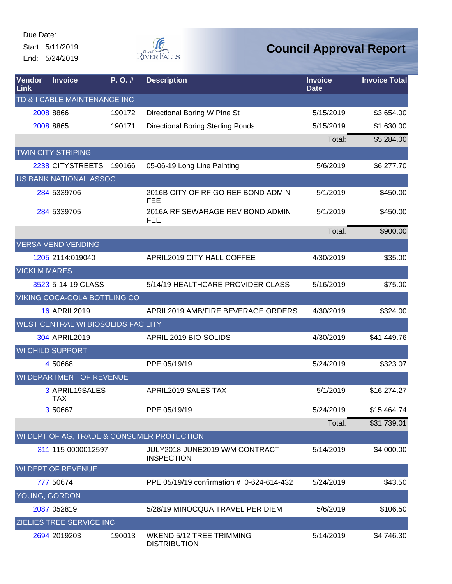End: 5/24/2019



| Vendor<br>Link       | <b>Invoice</b>                      | P.O.#  | <b>Description</b>                                     | <b>Invoice</b><br><b>Date</b> | <b>Invoice Total</b> |
|----------------------|-------------------------------------|--------|--------------------------------------------------------|-------------------------------|----------------------|
|                      | TD & I CABLE MAINTENANCE INC        |        |                                                        |                               |                      |
|                      | 2008 8866                           | 190172 | Directional Boring W Pine St                           | 5/15/2019                     | \$3,654.00           |
|                      | 2008 8865                           | 190171 | <b>Directional Boring Sterling Ponds</b>               | 5/15/2019                     | \$1,630.00           |
|                      |                                     |        |                                                        | Total:                        | \$5,284.00           |
|                      | <b>TWIN CITY STRIPING</b>           |        |                                                        |                               |                      |
|                      | 2238 CITYSTREETS                    | 190166 | 05-06-19 Long Line Painting                            | 5/6/2019                      | \$6,277.70           |
|                      | <b>US BANK NATIONAL ASSOC</b>       |        |                                                        |                               |                      |
|                      | 284 5339706                         |        | 2016B CITY OF RF GO REF BOND ADMIN<br><b>FEE</b>       | 5/1/2019                      | \$450.00             |
|                      | 284 5339705                         |        | 2016A RF SEWARAGE REV BOND ADMIN<br><b>FEE</b>         | 5/1/2019                      | \$450.00             |
|                      |                                     |        |                                                        | Total:                        | \$900.00             |
|                      | <b>VERSA VEND VENDING</b>           |        |                                                        |                               |                      |
|                      | 1205 2114:019040                    |        | APRIL2019 CITY HALL COFFEE                             | 4/30/2019                     | \$35.00              |
| <b>VICKI M MARES</b> |                                     |        |                                                        |                               |                      |
|                      | 3523 5-14-19 CLASS                  |        | 5/14/19 HEALTHCARE PROVIDER CLASS                      | 5/16/2019                     | \$75.00              |
|                      | <b>VIKING COCA-COLA BOTTLING CO</b> |        |                                                        |                               |                      |
|                      | <b>16 APRIL2019</b>                 |        | APRIL2019 AMB/FIRE BEVERAGE ORDERS                     | 4/30/2019                     | \$324.00             |
|                      | WEST CENTRAL WI BIOSOLIDS FACILITY  |        |                                                        |                               |                      |
|                      | 304 APRIL2019                       |        | APRIL 2019 BIO-SOLIDS                                  | 4/30/2019                     | \$41,449.76          |
|                      | <b>WI CHILD SUPPORT</b>             |        |                                                        |                               |                      |
|                      | 4 50668                             |        | PPE 05/19/19                                           | 5/24/2019                     | \$323.07             |
|                      | WI DEPARTMENT OF REVENUE            |        |                                                        |                               |                      |
|                      | 3 APRIL19SALES<br><b>TAX</b>        |        | APRIL2019 SALES TAX                                    | 5/1/2019                      | \$16,274.27          |
|                      | 3 50667                             |        | PPE 05/19/19                                           | 5/24/2019                     | \$15,464.74          |
|                      |                                     |        |                                                        | Total:                        | \$31,739.01          |
|                      |                                     |        | WI DEPT OF AG, TRADE & CONSUMER PROTECTION             |                               |                      |
|                      | 311 115-0000012597                  |        | JULY2018-JUNE2019 W/M CONTRACT<br><b>INSPECTION</b>    | 5/14/2019                     | \$4,000.00           |
|                      | <b>WI DEPT OF REVENUE</b>           |        |                                                        |                               |                      |
|                      | 777 50674                           |        | PPE 05/19/19 confirmation # 0-624-614-432              | 5/24/2019                     | \$43.50              |
| YOUNG, GORDON        |                                     |        |                                                        |                               |                      |
|                      | 2087 052819                         |        | 5/28/19 MINOCQUA TRAVEL PER DIEM                       | 5/6/2019                      | \$106.50             |
|                      | ZIELIES TREE SERVICE INC            |        |                                                        |                               |                      |
|                      | 2694 2019203                        | 190013 | <b>WKEND 5/12 TREE TRIMMING</b><br><b>DISTRIBUTION</b> | 5/14/2019                     | \$4,746.30           |